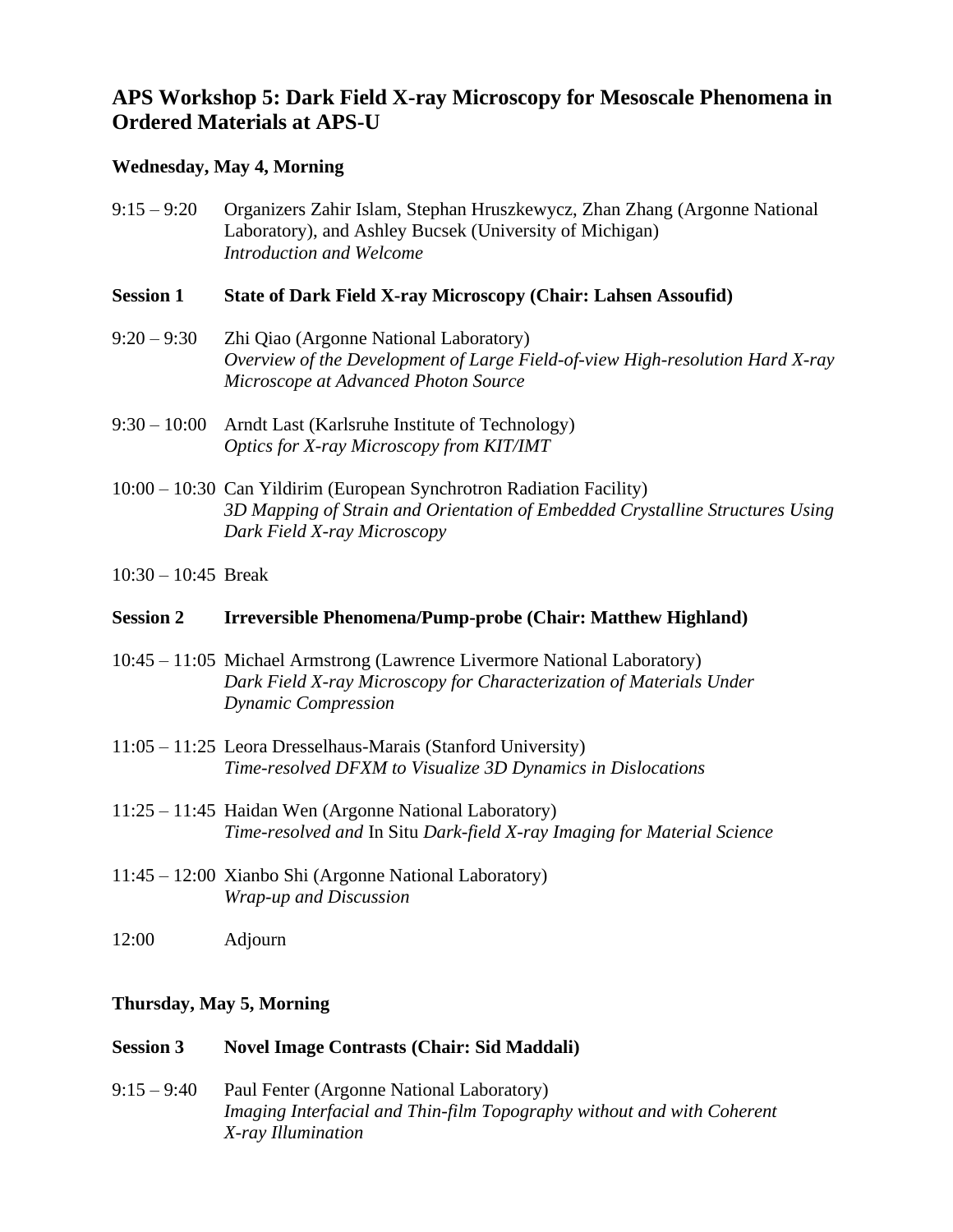# **APS Workshop 5: Dark Field X-ray Microscopy for Mesoscale Phenomena in Ordered Materials at APS-U**

## **Wednesday, May 4, Morning**

9:15 – 9:20 Organizers Zahir Islam, Stephan Hruszkewycz, Zhan Zhang (Argonne National Laboratory), and Ashley Bucsek (University of Michigan) *Introduction and Welcome*

### **Session 1 State of Dark Field X-ray Microscopy (Chair: Lahsen Assoufid)**

- 9:20 9:30 Zhi Qiao (Argonne National Laboratory) *Overview of the Development of Large Field-of-view High-resolution Hard X-ray Microscope at Advanced Photon Source*
- 9:30 10:00 Arndt Last (Karlsruhe Institute of Technology) *Optics for X-ray Microscopy from KIT/IMT*
- 10:00 10:30 Can Yildirim (European Synchrotron Radiation Facility) *3D Mapping of Strain and Orientation of Embedded Crystalline Structures Using Dark Field X-ray Microscopy*
- 10:30 10:45 Break

### **Session 2 Irreversible Phenomena/Pump-probe (Chair: Matthew Highland)**

- 10:45 11:05 Michael Armstrong (Lawrence Livermore National Laboratory) *Dark Field X-ray Microscopy for Characterization of Materials Under Dynamic Compression*
- 11:05 11:25 Leora Dresselhaus-Marais (Stanford University) *Time-resolved DFXM to Visualize 3D Dynamics in Dislocations*
- 11:25 11:45 Haidan Wen (Argonne National Laboratory) *Time-resolved and* In Situ *Dark-field X-ray Imaging for Material Science*
- 11:45 12:00 Xianbo Shi (Argonne National Laboratory) *Wrap-up and Discussion*
- 12:00 Adjourn

### **Thursday, May 5, Morning**

#### **Session 3 Novel Image Contrasts (Chair: Sid Maddali)**

9:15 – 9:40 Paul Fenter (Argonne National Laboratory) *Imaging Interfacial and Thin-film Topography without and with Coherent X-ray Illumination*